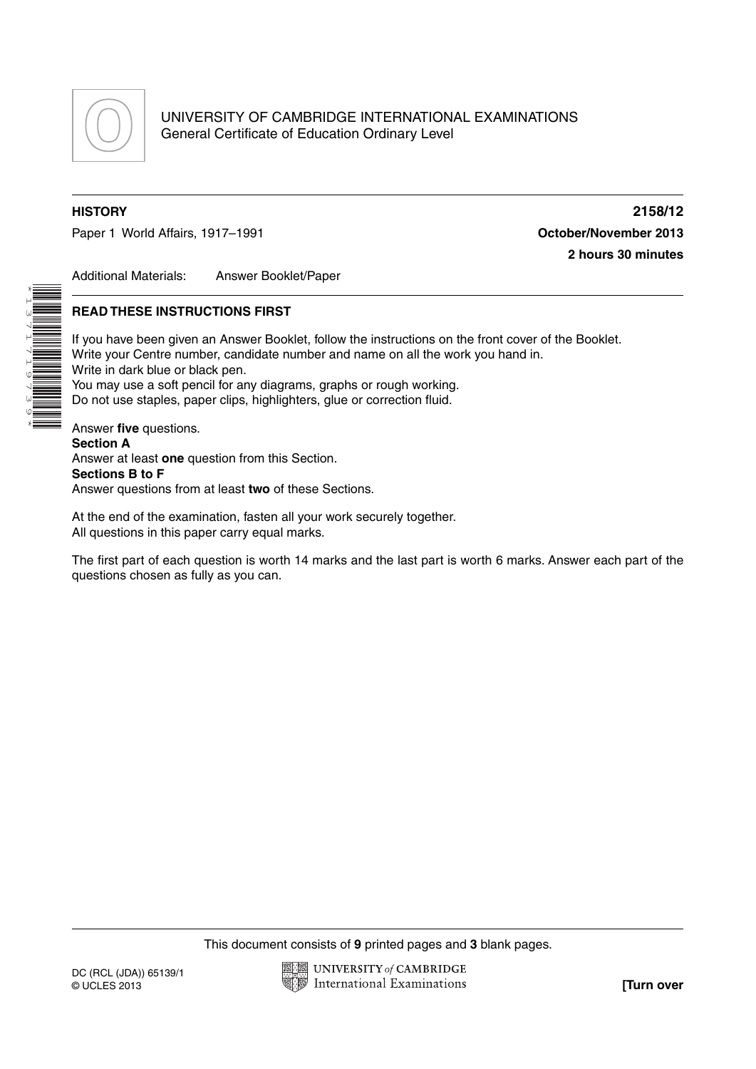

\*1371719739\*

N NATIONAL AND NATIONAL AND DESCRIPTION OF A STRUCK AND LODGED STATE OF A STRUCK AND DESCRIPTION OF A STRUCK A

▆

Paper 1 World Affairs, 1917–1991 **Construction Construction Construction Construction Construction Construction** 

**HISTORY 2158/12 2 hours 30 minutes**

Additional Materials: Answer Booklet/Paper

#### **READ THESE INSTRUCTIONS FIRST**

If you have been given an Answer Booklet, follow the instructions on the front cover of the Booklet. Write your Centre number, candidate number and name on all the work you hand in. Write in dark blue or black pen. You may use a soft pencil for any diagrams, graphs or rough working. Do not use staples, paper clips, highlighters, glue or correction fluid. Answer **five** questions.

**Section A** Answer at least **one** question from this Section. **Sections B to F** Answer questions from at least **two** of these Sections.

At the end of the examination, fasten all your work securely together. All questions in this paper carry equal marks.

The first part of each question is worth 14 marks and the last part is worth 6 marks. Answer each part of the questions chosen as fully as you can.

This document consists of **9** printed pages and **3** blank pages.

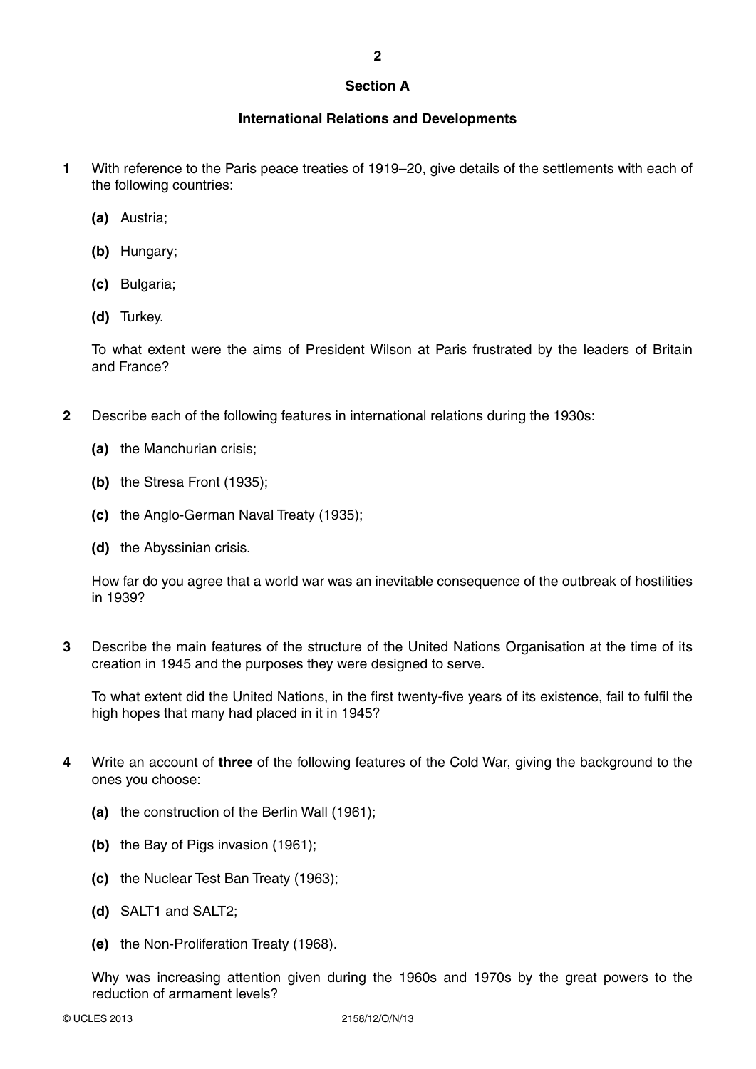#### **Section A**

# **International Relations and Developments**

- **1** With reference to the Paris peace treaties of 1919–20, give details of the settlements with each of the following countries:
	- **(a)** Austria;
	- **(b)** Hungary;
	- **(c)** Bulgaria;
	- **(d)** Turkey.

To what extent were the aims of President Wilson at Paris frustrated by the leaders of Britain and France?

- **2** Describe each of the following features in international relations during the 1930s:
	- **(a)** the Manchurian crisis;
	- **(b)** the Stresa Front (1935);
	- **(c)** the Anglo-German Naval Treaty (1935);
	- **(d)** the Abyssinian crisis.

How far do you agree that a world war was an inevitable consequence of the outbreak of hostilities in 1939?

**3** Describe the main features of the structure of the United Nations Organisation at the time of its creation in 1945 and the purposes they were designed to serve.

To what extent did the United Nations, in the first twenty-five years of its existence, fail to fulfil the high hopes that many had placed in it in 1945?

- **4** Write an account of **three** of the following features of the Cold War, giving the background to the ones you choose:
	- **(a)** the construction of the Berlin Wall (1961);
	- **(b)** the Bay of Pigs invasion (1961);
	- **(c)** the Nuclear Test Ban Treaty (1963);
	- **(d)** SALT1 and SALT2;
	- **(e)** the Non-Proliferation Treaty (1968).

Why was increasing attention given during the 1960s and 1970s by the great powers to the reduction of armament levels?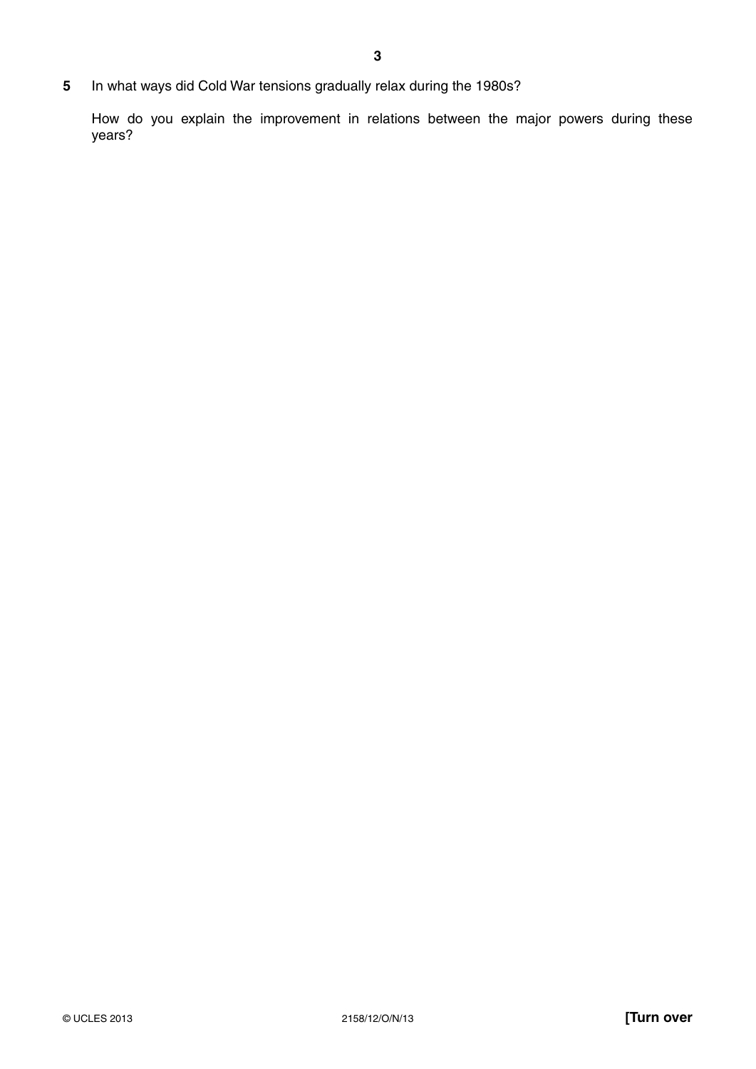**5** In what ways did Cold War tensions gradually relax during the 1980s?

How do you explain the improvement in relations between the major powers during these years?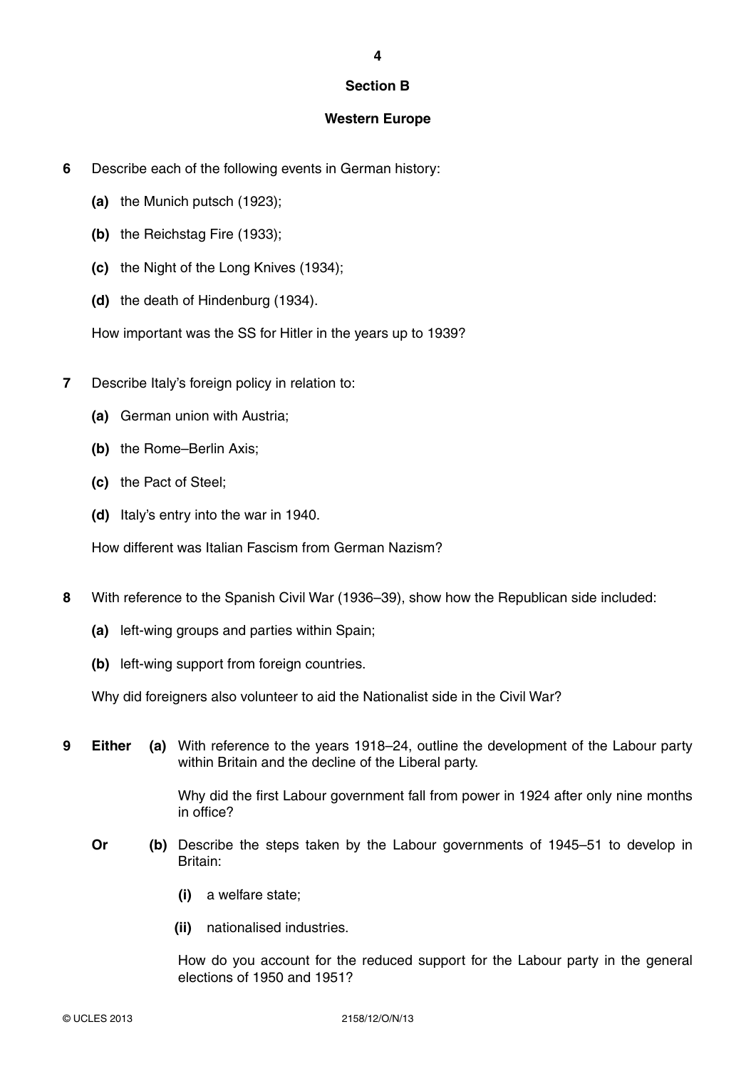# **Section B**

#### **Western Europe**

- **6** Describe each of the following events in German history:
	- **(a)** the Munich putsch (1923);
	- **(b)** the Reichstag Fire (1933);
	- **(c)** the Night of the Long Knives (1934);
	- **(d)** the death of Hindenburg (1934).

How important was the SS for Hitler in the years up to 1939?

- **7** Describe Italy's foreign policy in relation to:
	- **(a)** German union with Austria;
	- **(b)** the Rome–Berlin Axis;
	- **(c)** the Pact of Steel;
	- **(d)** Italy's entry into the war in 1940.

How different was Italian Fascism from German Nazism?

- **8** With reference to the Spanish Civil War (1936–39), show how the Republican side included:
	- **(a)** left-wing groups and parties within Spain;
	- **(b)** left-wing support from foreign countries.

Why did foreigners also volunteer to aid the Nationalist side in the Civil War?

**9 Either (a)** With reference to the years 1918–24, outline the development of the Labour party within Britain and the decline of the Liberal party.

> Why did the first Labour government fall from power in 1924 after only nine months in office?

- **Or** (b) Describe the steps taken by the Labour governments of 1945–51 to develop in Britain:
	- **(i)** a welfare state;
	- **(ii)** nationalised industries.

How do you account for the reduced support for the Labour party in the general elections of 1950 and 1951?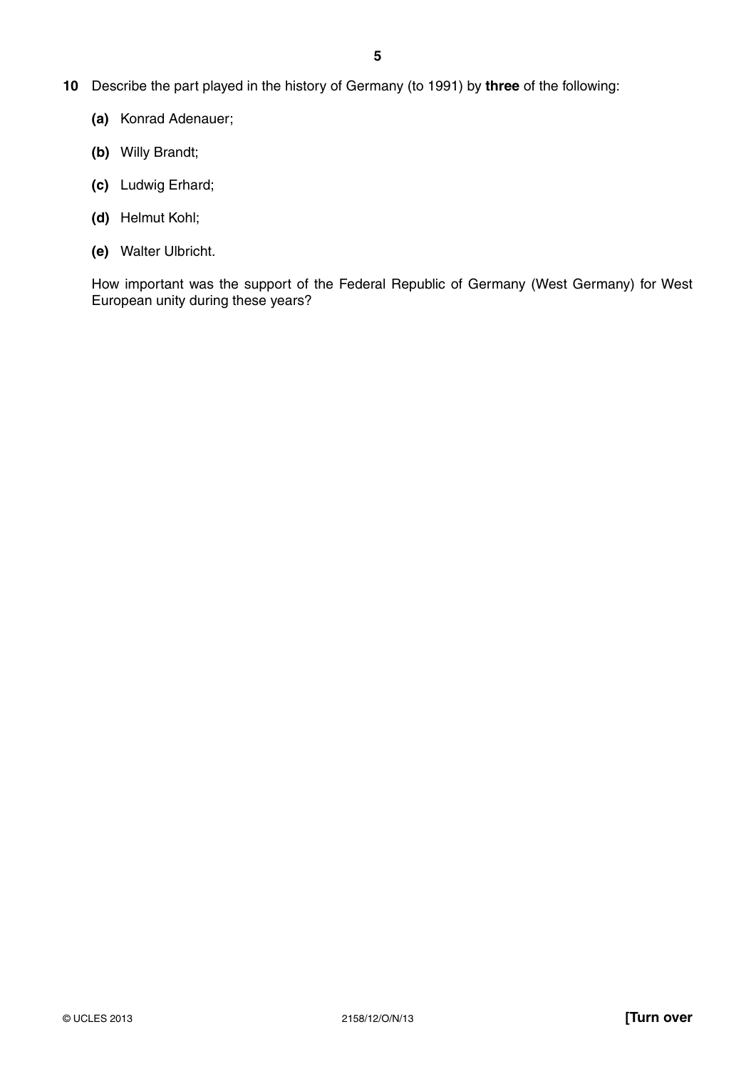- **10** Describe the part played in the history of Germany (to 1991) by **three** of the following:
	- **(a)** Konrad Adenauer;
	- **(b)** Willy Brandt;
	- **(c)** Ludwig Erhard;
	- **(d)** Helmut Kohl;
	- **(e)** Walter Ulbricht.

How important was the support of the Federal Republic of Germany (West Germany) for West European unity during these years?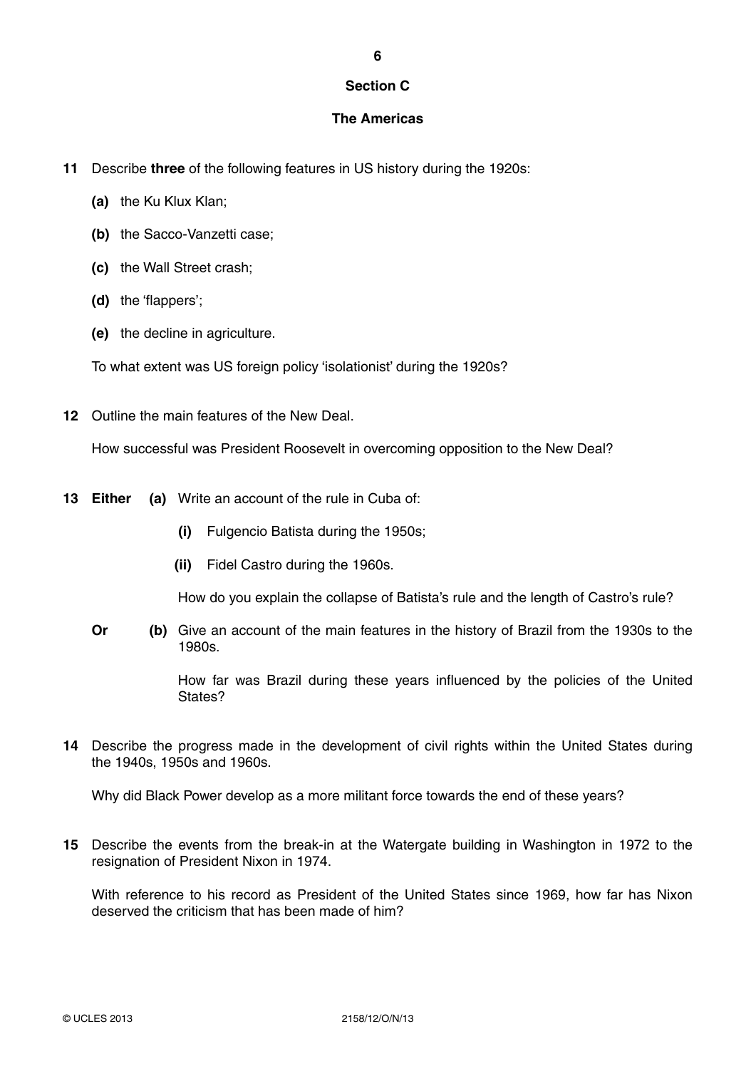# **Section C**

# **The Americas**

- **11** Describe **three** of the following features in US history during the 1920s:
	- **(a)** the Ku Klux Klan;
	- **(b)** the Sacco-Vanzetti case;
	- **(c)** the Wall Street crash;
	- **(d)** the 'flappers';
	- **(e)** the decline in agriculture.

To what extent was US foreign policy 'isolationist' during the 1920s?

**12** Outline the main features of the New Deal.

How successful was President Roosevelt in overcoming opposition to the New Deal?

- **13 Either (a)** Write an account of the rule in Cuba of:
	- **(i)** Fulgencio Batista during the 1950s;
	- **(ii)** Fidel Castro during the 1960s.

How do you explain the collapse of Batista's rule and the length of Castro's rule?

**Or** (b) Give an account of the main features in the history of Brazil from the 1930s to the 1980s.

> How far was Brazil during these years influenced by the policies of the United States?

**14** Describe the progress made in the development of civil rights within the United States during the 1940s, 1950s and 1960s.

Why did Black Power develop as a more militant force towards the end of these years?

**15** Describe the events from the break-in at the Watergate building in Washington in 1972 to the resignation of President Nixon in 1974.

With reference to his record as President of the United States since 1969, how far has Nixon deserved the criticism that has been made of him?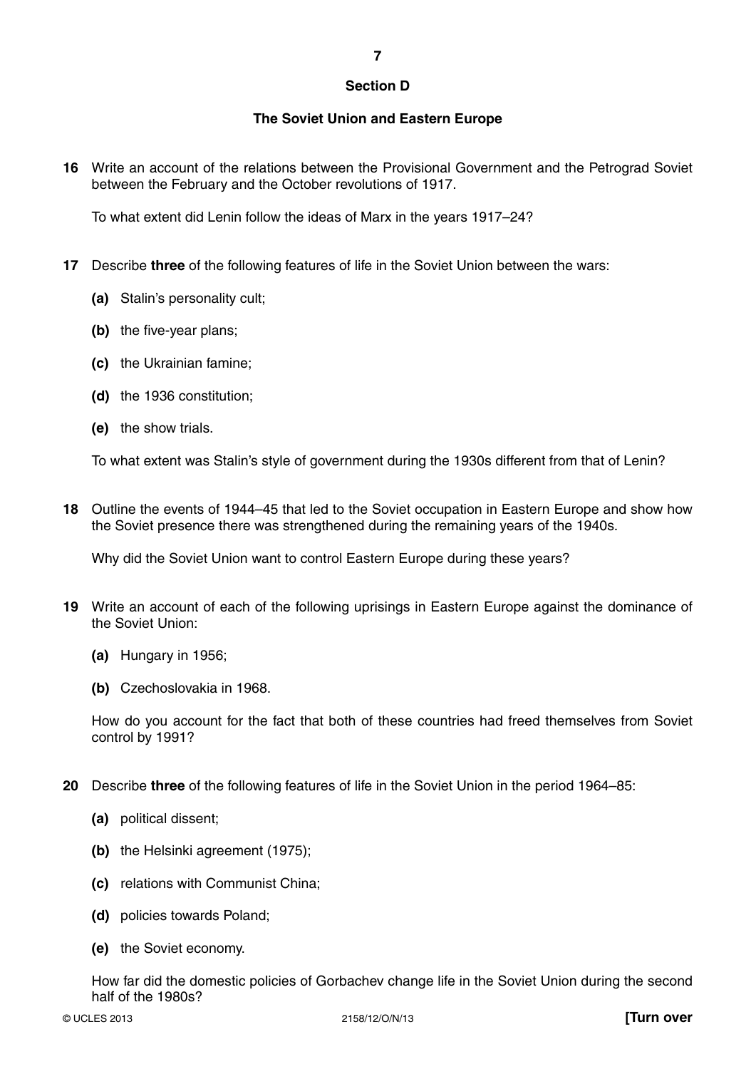# **Section D**

# **The Soviet Union and Eastern Europe**

**16** Write an account of the relations between the Provisional Government and the Petrograd Soviet between the February and the October revolutions of 1917.

To what extent did Lenin follow the ideas of Marx in the years 1917–24?

- **17** Describe **three** of the following features of life in the Soviet Union between the wars:
	- **(a)** Stalin's personality cult;
	- **(b)** the five-year plans;
	- **(c)** the Ukrainian famine;
	- **(d)** the 1936 constitution;
	- **(e)** the show trials.

To what extent was Stalin's style of government during the 1930s different from that of Lenin?

**18** Outline the events of 1944–45 that led to the Soviet occupation in Eastern Europe and show how the Soviet presence there was strengthened during the remaining years of the 1940s.

Why did the Soviet Union want to control Eastern Europe during these years?

- **19** Write an account of each of the following uprisings in Eastern Europe against the dominance of the Soviet Union:
	- **(a)** Hungary in 1956;
	- **(b)** Czechoslovakia in 1968.

How do you account for the fact that both of these countries had freed themselves from Soviet control by 1991?

- **20** Describe **three** of the following features of life in the Soviet Union in the period 1964–85:
	- **(a)** political dissent;
	- **(b)** the Helsinki agreement (1975);
	- **(c)** relations with Communist China;
	- **(d)** policies towards Poland;
	- **(e)** the Soviet economy.

How far did the domestic policies of Gorbachev change life in the Soviet Union during the second half of the 1980s?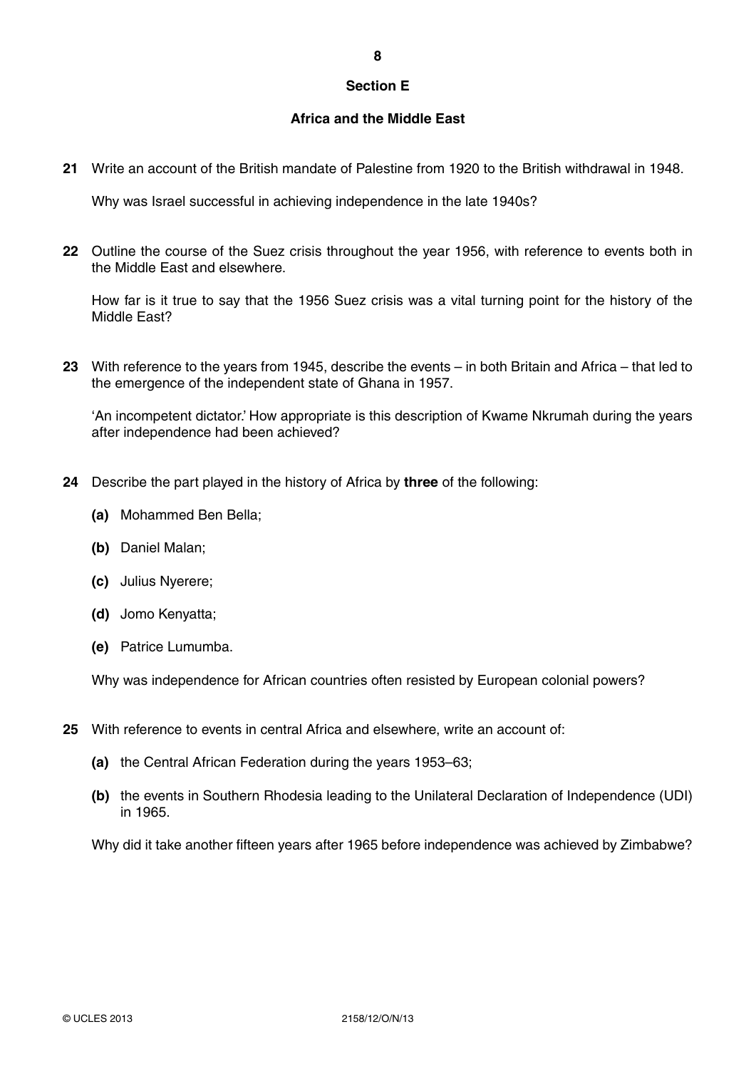#### **Section E**

### **Africa and the Middle East**

**21** Write an account of the British mandate of Palestine from 1920 to the British withdrawal in 1948.

Why was Israel successful in achieving independence in the late 1940s?

**22** Outline the course of the Suez crisis throughout the year 1956, with reference to events both in the Middle East and elsewhere.

How far is it true to say that the 1956 Suez crisis was a vital turning point for the history of the Middle East?

**23** With reference to the years from 1945, describe the events – in both Britain and Africa – that led to the emergence of the independent state of Ghana in 1957.

'An incompetent dictator.' How appropriate is this description of Kwame Nkrumah during the years after independence had been achieved?

- **24** Describe the part played in the history of Africa by **three** of the following:
	- **(a)** Mohammed Ben Bella;
	- **(b)** Daniel Malan;
	- **(c)** Julius Nyerere;
	- **(d)** Jomo Kenyatta;
	- **(e)** Patrice Lumumba.

Why was independence for African countries often resisted by European colonial powers?

- **25** With reference to events in central Africa and elsewhere, write an account of:
	- **(a)** the Central African Federation during the years 1953–63;
	- **(b)** the events in Southern Rhodesia leading to the Unilateral Declaration of Independence (UDI) in 1965.

Why did it take another fifteen years after 1965 before independence was achieved by Zimbabwe?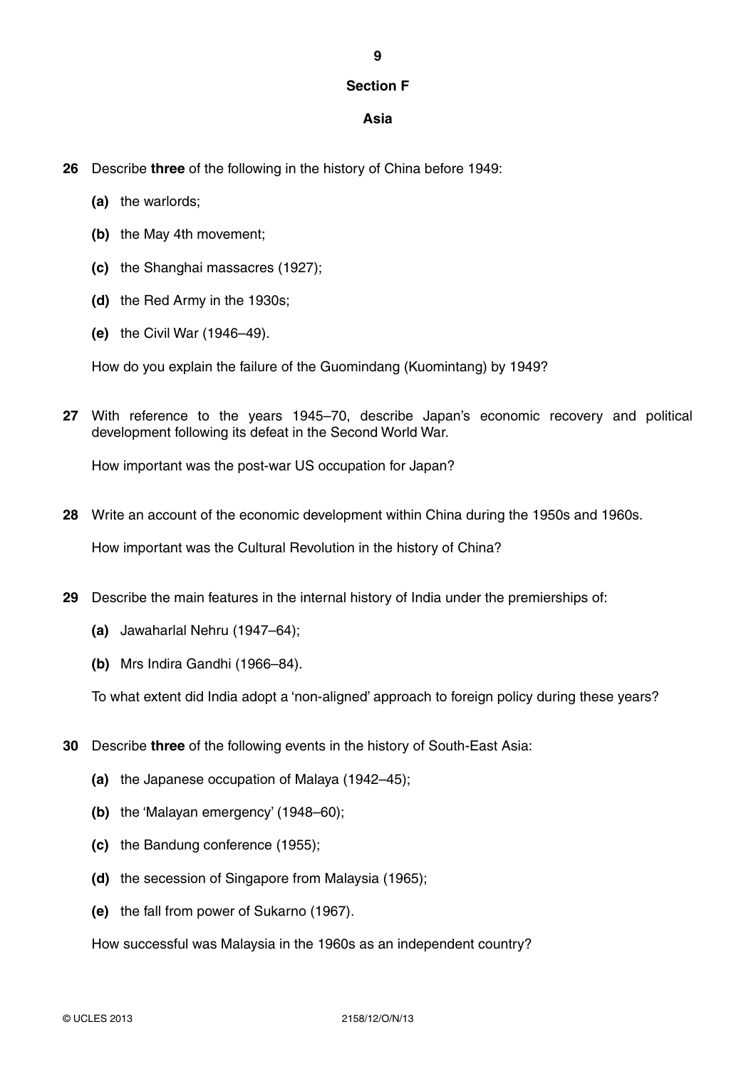# **Section F**

**9**

### **Asia**

- **26** Describe **three** of the following in the history of China before 1949:
	- **(a)** the warlords;
	- **(b)** the May 4th movement;
	- **(c)** the Shanghai massacres (1927);
	- **(d)** the Red Army in the 1930s;
	- **(e)** the Civil War (1946–49).

How do you explain the failure of the Guomindang (Kuomintang) by 1949?

**27** With reference to the years 1945–70, describe Japan's economic recovery and political development following its defeat in the Second World War.

How important was the post-war US occupation for Japan?

- **28** Write an account of the economic development within China during the 1950s and 1960s. How important was the Cultural Revolution in the history of China?
- **29** Describe the main features in the internal history of India under the premierships of:
	- **(a)** Jawaharlal Nehru (1947–64);
	- **(b)** Mrs Indira Gandhi (1966–84).

To what extent did India adopt a 'non-aligned' approach to foreign policy during these years?

- **30** Describe **three** of the following events in the history of South-East Asia:
	- **(a)** the Japanese occupation of Malaya (1942–45);
	- **(b)** the 'Malayan emergency' (1948–60);
	- **(c)** the Bandung conference (1955);
	- **(d)** the secession of Singapore from Malaysia (1965);
	- **(e)** the fall from power of Sukarno (1967).

How successful was Malaysia in the 1960s as an independent country?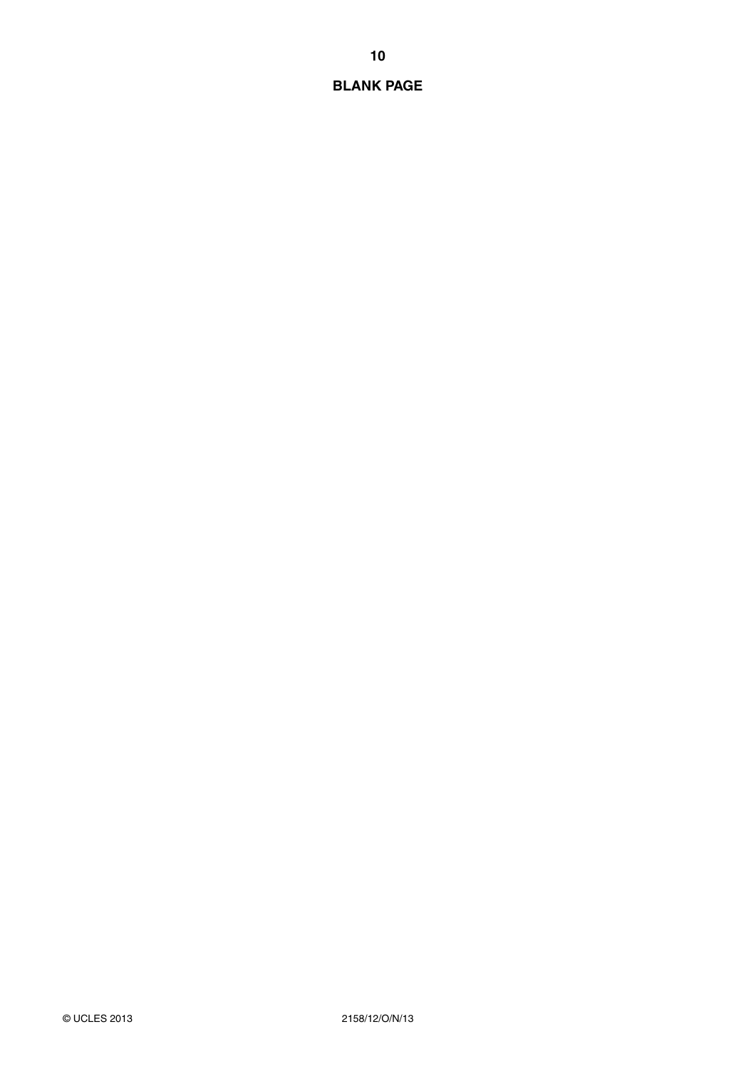# **BLANK PAGE**

**10**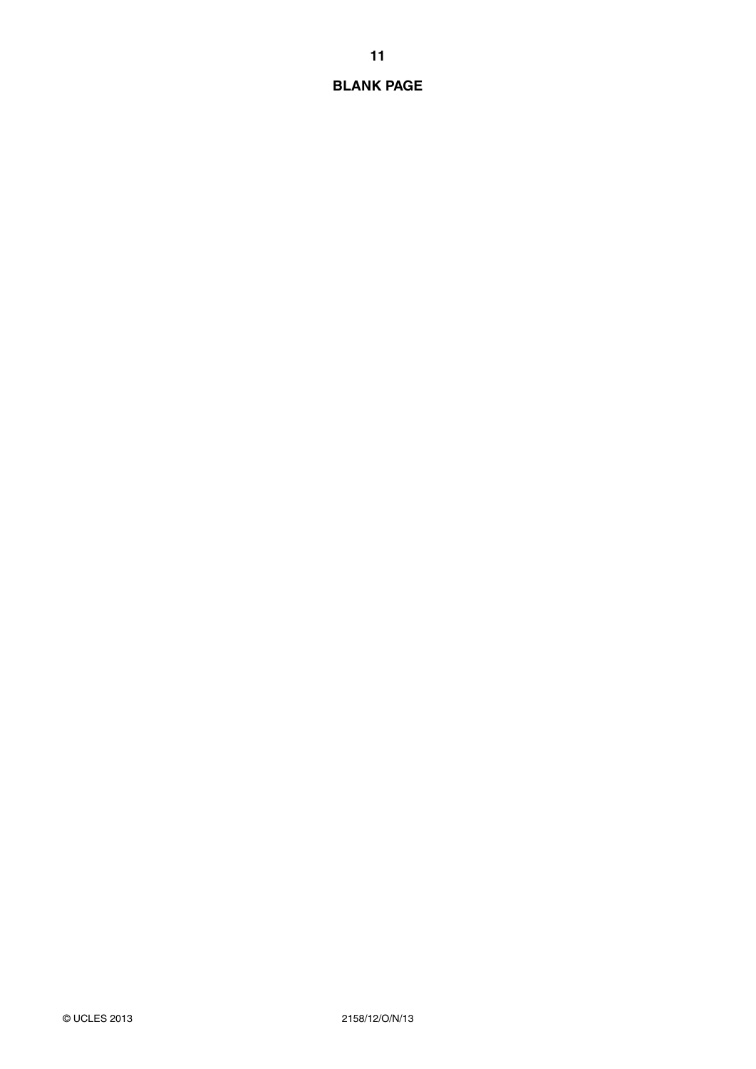# **BLANK PAGE**

**11**